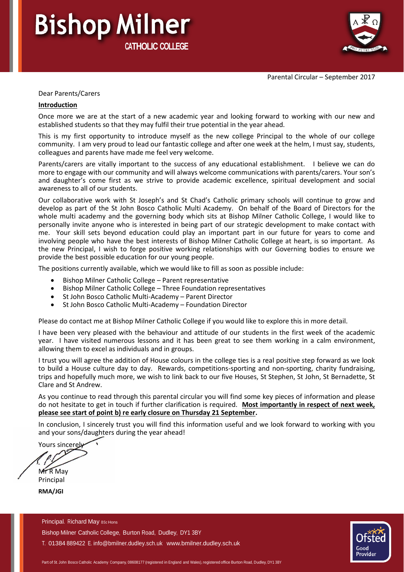Parental Circular – September 2017

# **Bishop Milner CATHOLIC COLLEGE**

Dear Parents/Carers

#### **Introduction**

Once more we are at the start of a new academic year and looking forward to working with our new and established students so that they may fulfil their true potential in the year ahead.

This is my first opportunity to introduce myself as the new college Principal to the whole of our college community. I am very proud to lead our fantastic college and after one week at the helm, I must say, students, colleagues and parents have made me feel very welcome.

Parents/carers are vitally important to the success of any educational establishment. I believe we can do more to engage with our community and will always welcome communications with parents/carers. Your son's and daughter's come first as we strive to provide academic excellence, spiritual development and social awareness to all of our students.

Our collaborative work with St Joseph's and St Chad's Catholic primary schools will continue to grow and develop as part of the St John Bosco Catholic Multi Academy. On behalf of the Board of Directors for the whole multi academy and the governing body which sits at Bishop Milner Catholic College, I would like to personally invite anyone who is interested in being part of our strategic development to make contact with me. Your skill sets beyond education could play an important part in our future for years to come and involving people who have the best interests of Bishop Milner Catholic College at heart, is so important. As the new Principal, I wish to forge positive working relationships with our Governing bodies to ensure we provide the best possible education for our young people.

The positions currently available, which we would like to fill as soon as possible include:

- Bishop Milner Catholic College Parent representative
- Bishop Milner Catholic College Three Foundation representatives
- St John Bosco Catholic Multi-Academy Parent Director
- St John Bosco Catholic Multi-Academy Foundation Director

Please do contact me at Bishop Milner Catholic College if you would like to explore this in more detail.

I have been very pleased with the behaviour and attitude of our students in the first week of the academic year. I have visited numerous lessons and it has been great to see them working in a calm environment, allowing them to excel as individuals and in groups.

I trust you will agree the addition of House colours in the college ties is a real positive step forward as we look to build a House culture day to day. Rewards, competitions-sporting and non-sporting, charity fundraising, trips and hopefully much more, we wish to link back to our five Houses, St Stephen, St John, St Bernadette, St Clare and St Andrew.

As you continue to read through this parental circular you will find some key pieces of information and please do not hesitate to get in touch if further clarification is required. **Most importantly in respect of next week, please see start of point b) re early closure on Thursday 21 September.**

In conclusion, I sincerely trust you will find this information useful and we look forward to working with you and your sons/daughters during the year ahead!

Yours sincerely

Mr<sub>R</sub> May Principal

**RMA/JGI**

Principal. Richard May BSc Hons Bishop Milner Catholic College, Burton Road, Dudley, DY1 3BY T. 01384 889422 E. [info@bmilner.dudley.sch.uk www.bmilner.dudley.sch.uk](mailto:info@bmilner.dudley.sch.uk)

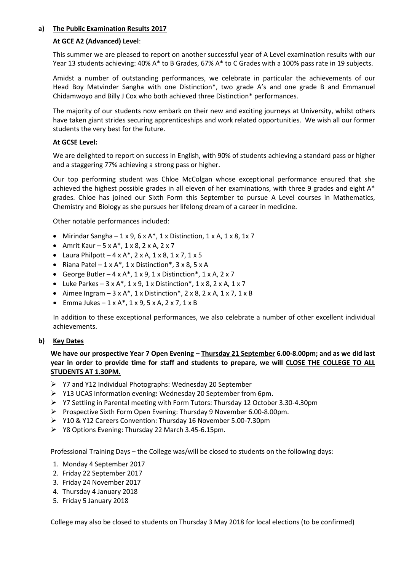## **a) The Public Examination Results 2017**

## **At GCE A2 (Advanced) Level**:

This summer we are pleased to report on another successful year of A Level examination results with our Year 13 students achieving: 40% A\* to B Grades, 67% A\* to C Grades with a 100% pass rate in 19 subjects.

Amidst a number of outstanding performances, we celebrate in particular the achievements of our Head Boy Matvinder Sangha with one Distinction\*, two grade A's and one grade B and Emmanuel Chidamwoyo and Billy J Cox who both achieved three Distinction\* performances.

The majority of our students now embark on their new and exciting journeys at University, whilst others have taken giant strides securing apprenticeships and work related opportunities. We wish all our former students the very best for the future.

## **At GCSE Level:**

We are delighted to report on success in English, with 90% of students achieving a standard pass or higher and a staggering 77% achieving a strong pass or higher.

Our top performing student was Chloe McColgan whose exceptional performance ensured that she achieved the highest possible grades in all eleven of her examinations, with three 9 grades and eight A\* grades. Chloe has joined our Sixth Form this September to pursue A Level courses in Mathematics, Chemistry and Biology as she pursues her lifelong dream of a career in medicine.

Other notable performances included:

- Mirindar Sangha  $1 \times 9$ ,  $6 \times A^*$ ,  $1 \times$  Distinction,  $1 \times A$ ,  $1 \times 8$ ,  $1 \times 7$
- Amrit Kaur  $5 \times A^*$ ,  $1 \times 8$ ,  $2 \times A$ ,  $2 \times 7$
- Laura Philpott  $-4 \times A^*$ ,  $2 \times A$ ,  $1 \times 8$ ,  $1 \times 7$ ,  $1 \times 5$
- Riana Patel  $-1 \times A^*$ , 1 x Distinction\*, 3 x 8, 5 x A
- George Butler  $-4 \times A^*$ ,  $1 \times 9$ ,  $1 \times$  Distinction\*,  $1 \times A$ ,  $2 \times 7$
- Luke Parkes  $-3 \times A^*$ ,  $1 \times 9$ ,  $1 \times$  Distinction\*,  $1 \times 8$ ,  $2 \times A$ ,  $1 \times 7$
- Aimee Ingram  $-3 \times A^*$ , 1 x Distinction\*, 2 x 8, 2 x A, 1 x 7, 1 x B
- Emma Jukes  $-1 \times A^*$ ,  $1 \times 9$ ,  $5 \times A$ ,  $2 \times 7$ ,  $1 \times B$

In addition to these exceptional performances, we also celebrate a number of other excellent individual achievements.

### **b) Key Dates**

We have our prospective Year 7 Open Evening - Thursday 21 September 6.00-8.00pm; and as we did last **year in order to provide time for staff and students to prepare, we will CLOSE THE COLLEGE TO ALL STUDENTS AT 1.30PM.** 

- Y7 and Y12 Individual Photographs: Wednesday 20 September
- Y13 UCAS Information evening**:** Wednesday 20 September from 6pm**.**
- Y7 Settling in Parental meeting with Form Tutors: Thursday 12 October 3.30-4.30pm
- Prospective Sixth Form Open Evening: Thursday 9 November 6.00-8.00pm.
- Y10 & Y12 Careers Convention: Thursday 16 November 5.00-7.30pm
- Y8 Options Evening: Thursday 22 March 3.45-6.15pm.

Professional Training Days – the College was/will be closed to students on the following days:

- 1. Monday 4 September 2017
- 2. Friday 22 September 2017
- 3. Friday 24 November 2017
- 4. Thursday 4 January 2018
- 5. Friday 5 January 2018

College may also be closed to students on Thursday 3 May 2018 for local elections (to be confirmed)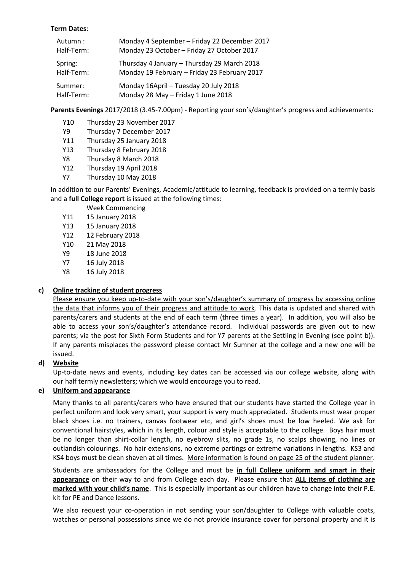## **Term Dates**:

| Autumn:    | Monday 4 September - Friday 22 December 2017 |
|------------|----------------------------------------------|
| Half-Term: | Monday 23 October - Friday 27 October 2017   |
| Spring:    | Thursday 4 January - Thursday 29 March 2018  |
| Half-Term: | Monday 19 February - Friday 23 February 2017 |
| Summer:    | Monday 16April - Tuesday 20 July 2018        |
| Half-Term: | Monday 28 May - Friday 1 June 2018           |

**Parents Evenings** 2017/2018 (3.45-7.00pm) - Reporting your son's/daughter's progress and achievements:

- Y10 Thursday 23 November 2017
- Y9 Thursday 7 December 2017
- Y11 Thursday 25 January 2018
- Y13 Thursday 8 February 2018
- Y8 Thursday 8 March 2018
- Y12 Thursday 19 April 2018
- Y7 Thursday 10 May 2018

In addition to our Parents' Evenings, Academic/attitude to learning, feedback is provided on a termly basis and a **full College report** is issued at the following times:

Week Commencing

- Y11 15 January 2018
- Y13 15 January 2018
- Y12 12 February 2018
- Y10 21 May 2018
- Y9 18 June 2018
- Y7 16 July 2018
- Y8 16 July 2018

# **c) Online tracking of student progress**

Please ensure you keep up-to-date with your son's/daughter's summary of progress by accessing online the data that informs you of their progress and attitude to work. This data is updated and shared with parents/carers and students at the end of each term (three times a year). In addition, you will also be able to access your son's/daughter's attendance record. Individual passwords are given out to new parents; via the post for Sixth Form Students and for Y7 parents at the Settling in Evening (see point b)). If any parents misplaces the password please contact Mr Sumner at the college and a new one will be issued.

# **d) Website**

Up-to-date news and events, including key dates can be accessed via our college website, along with our half termly newsletters; which we would encourage you to read.

# **e) Uniform and appearance**

Many thanks to all parents/carers who have ensured that our students have started the College year in perfect uniform and look very smart, your support is very much appreciated. Students must wear proper black shoes i.e. no trainers, canvas footwear etc, and girl's shoes must be low heeled. We ask for conventional hairstyles, which in its length, colour and style is acceptable to the college. Boys hair must be no longer than shirt-collar length, no eyebrow slits, no grade 1s, no scalps showing, no lines or outlandish colourings. No hair extensions, no extreme partings or extreme variations in lengths. KS3 and KS4 bovs must be clean shaven at all times. More information is found on page 25 of the student planner.

Students are ambassadors for the College and must be **in full College uniform and smart in their appearance** on their way to and from College each day. Please ensure that **ALL items of clothing are marked with your child's name**. This is especially important as our children have to change into their P.E. kit for PE and Dance lessons.

We also request your co-operation in not sending your son/daughter to College with valuable coats, watches or personal possessions since we do not provide insurance cover for personal property and it is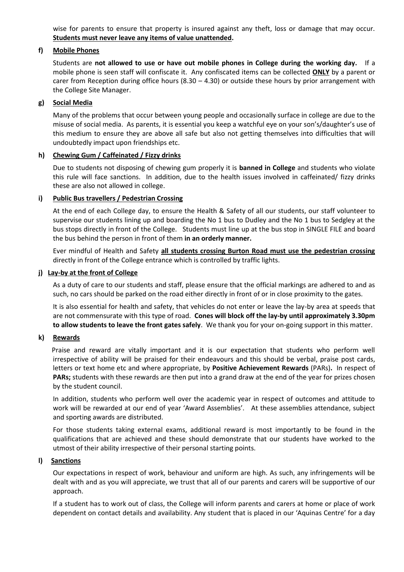wise for parents to ensure that property is insured against any theft, loss or damage that may occur. **Students must never leave any items of value unattended.** 

## **f) Mobile Phones**

Students are **not allowed to use or have out mobile phones in College during the working day.** If a mobile phone is seen staff will confiscate it. Any confiscated items can be collected **ONLY** by a parent or carer from Reception during office hours (8.30 – 4.30) or outside these hours by prior arrangement with the College Site Manager.

## **g) Social Media**

Many of the problems that occur between young people and occasionally surface in college are due to the misuse of social media. As parents, it is essential you keep a watchful eye on your son's/daughter's use of this medium to ensure they are above all safe but also not getting themselves into difficulties that will undoubtedly impact upon friendships etc.

## **h) Chewing Gum / Caffeinated / Fizzy drinks**

Due to students not disposing of chewing gum properly it is **banned in College** and students who violate this rule will face sanctions. In addition, due to the health issues involved in caffeinated/ fizzy drinks these are also not allowed in college.

## **i) Public Bus travellers / Pedestrian Crossing**

At the end of each College day, to ensure the Health & Safety of all our students, our staff volunteer to supervise our students lining up and boarding the No 1 bus to Dudley and the No 1 bus to Sedgley at the bus stops directly in front of the College. Students must line up at the bus stop in SINGLE FILE and board the bus behind the person in front of them **in an orderly manner.**

Ever mindful of Health and Safety **all students crossing Burton Road must use the pedestrian crossing** directly in front of the College entrance which is controlled by traffic lights.

### **j) Lay-by at the front of College**

As a duty of care to our students and staff, please ensure that the official markings are adhered to and as such, no cars should be parked on the road either directly in front of or in close proximity to the gates.

It is also essential for health and safety, that vehicles do not enter or leave the lay-by area at speeds that are not commensurate with this type of road. **Cones will block off the lay-by until approximately 3.30pm to allow students to leave the front gates safely**. We thank you for your on-going support in this matter.

### **k) Rewards**

 Praise and reward are vitally important and it is our expectation that students who perform well irrespective of ability will be praised for their endeavours and this should be verbal, praise post cards, letters or text home etc and where appropriate, by **Positive Achievement Rewards** (PARs)**.** In respect of **PARs;** students with these rewards are then put into a grand draw at the end of the year for prizes chosen by the student council.

In addition, students who perform well over the academic year in respect of outcomes and attitude to work will be rewarded at our end of year 'Award Assemblies'. At these assemblies attendance, subject and sporting awards are distributed.

For those students taking external exams, additional reward is most importantly to be found in the qualifications that are achieved and these should demonstrate that our students have worked to the utmost of their ability irrespective of their personal starting points.

### **l) Sanctions**

Our expectations in respect of work, behaviour and uniform are high. As such, any infringements will be dealt with and as you will appreciate, we trust that all of our parents and carers will be supportive of our approach.

If a student has to work out of class, the College will inform parents and carers at home or place of work dependent on contact details and availability. Any student that is placed in our 'Aquinas Centre' for a day